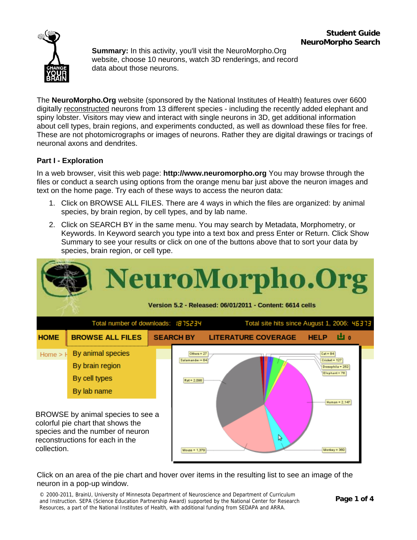

**Summary:** In this activity, you'll visit the NeuroMorpho.Org website, choose 10 neurons, watch 3D renderings, and record data about those neurons.

The **NeuroMorpho.Org** website (sponsored by the National Institutes of Health) features over 6600 digitally reconstructed neurons from 13 different species - including the recently added elephant and spiny lobster. Visitors may view and interact with single neurons in 3D, get additional information about cell types, brain regions, and experiments conducted, as well as download these files for free. These are not photomicrographs or images of neurons. Rather they are digital drawings or tracings of neuronal axons and dendrites.

## **Part I - Exploration**

In a web browser, visit this web page: **http://www.neuromorpho.org** You may browse through the files or conduct a search using options from the orange menu bar just above the neuron images and text on the home page. Try each of these ways to access the neuron data:

- 1. Click on BROWSE ALL FILES. There are 4 ways in which the files are organized: by animal species, by brain region, by cell types, and by lab name.
- 2. Click on SEARCH BY in the same menu. You may search by Metadata, Morphometry, or Keywords. In Keyword search you type into a text box and press Enter or Return. Click Show Summary to see your results or click on one of the buttons above that to sort your data by species, brain region, or cell type.



Click on an area of the pie chart and hover over items in the resulting list to see an image of the neuron in a pop-up window.

© 2000-2011, BrainU, University of Minnesota Department of Neuroscience and Department of Curriculum and Instruction. SEPA (Science Education Partnership Award) supported by the National Center for Research Resources, a part of the National Institutes of Health, with additional funding from SEDAPA and ARRA.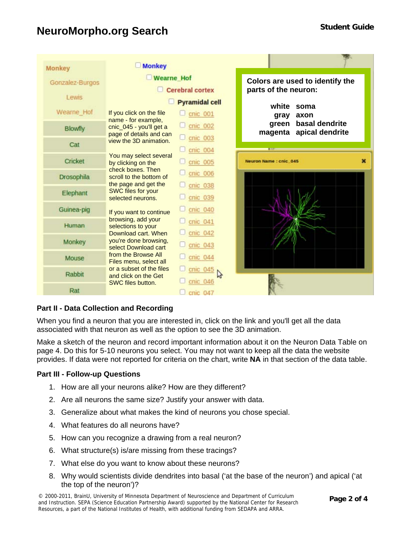## **NeuroMorpho.org Search Student Guide Student Guide**

| Monkey            | <b>Monkey</b>                                                         |                                      |                                                         |  |
|-------------------|-----------------------------------------------------------------------|--------------------------------------|---------------------------------------------------------|--|
| Gonzalez-Burgos   | <b>Wearne Hof</b><br><b>Cerebral cortex</b>                           |                                      | Colors are used to identify the<br>parts of the neuron: |  |
| Lewis             |                                                                       | <b>Pyramidal cell</b>                | white<br>soma                                           |  |
| Wearne Hof        | If you click on the file<br>name - for example,                       | cnic 001                             | gray<br>axon                                            |  |
| <b>Blowfly</b>    | cnic_045 - you'll get a<br>page of details and can                    | $C$ cnic 002                         | basal dendrite<br>green<br>apical dendrite<br>magenta   |  |
| Cat               | view the 3D animation.                                                | $C$ cnic 003<br>cnic 004             |                                                         |  |
| Cricket           | You may select several<br>by clicking on the                          | cnic 005                             | ×<br>Neuron Name : cnic_045                             |  |
| <b>Drosophila</b> | check boxes. Then<br>scroll to the bottom of<br>the page and get the  | cnic 006                             |                                                         |  |
| Elephant          | <b>SWC files for your</b><br>selected neurons.                        | cnic 038<br>cnic 039                 |                                                         |  |
| Guinea-pig        | If you want to continue                                               | cnic 040                             |                                                         |  |
| Human             | browsing, add your<br>selections to your<br>Download cart, When       | cnic 041<br>cnic 042                 |                                                         |  |
| Monkey            | you're done browsing,<br>select Download cart                         | cnic 043                             |                                                         |  |
| Mouse             | from the Browse All<br>Files menu, select all                         | cnic 044                             |                                                         |  |
| Rabbit            | or a subset of the files<br>and click on the Get<br>SWC files button. | cnic 045<br>$\mathbb{Z}$<br>cnic 046 |                                                         |  |
| Rat               |                                                                       | cnic 047                             |                                                         |  |

## **Part II - Data Collection and Recording**

When you find a neuron that you are interested in, click on the link and you'll get all the data associated with that neuron as well as the option to see the 3D animation.

Make a sketch of the neuron and record important information about it on the Neuron Data Table on page [4.](#page-3-0) Do this for 5-10 neurons you select. You may not want to keep all the data the website provides. If data were not reported for criteria on the chart, write **NA** in that section of the data table.

#### **Part III - Follow-up Questions**

- 1. How are all your neurons alike? How are they different?
- 2. Are all neurons the same size? Justify your answer with data.
- 3. Generalize about what makes the kind of neurons you chose special.
- 4. What features do all neurons have?
- 5. How can you recognize a drawing from a real neuron?
- 6. What structure(s) is/are missing from these tracings?
- 7. What else do you want to know about these neurons?
- 8. Why would scientists divide dendrites into basal ('at the base of the neuron') and apical ('at the top of the neuron')?

**ge 2 of 4** © 2000-2011, BrainU, University of Minnesota Department of Neuroscience and Department of Curriculum and Instruction. SEPA (Science Education Partnership Award) supported by the National Center for Research Resources, a part of the National Institutes of Health, with additional funding from SEDAPA and ARRA.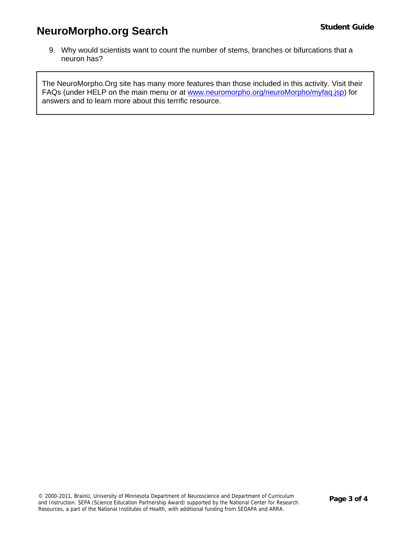# **NeuroMorpho.org Search Student Guide Student Guide**

9. Why would scientists want to count the number of stems, branches or bifurcations that a neuron has?

The NeuroMorpho.Org site has many more features than those included in this activity. Visit their FAQs (under HELP on the main menu or at [www.neuromorpho.org/neuroMorpho/myfaq.jsp](http://www.neuromorpho.org/neuroMorpho/myfaq.jsp)) for answers and to learn more about this terrific resource.